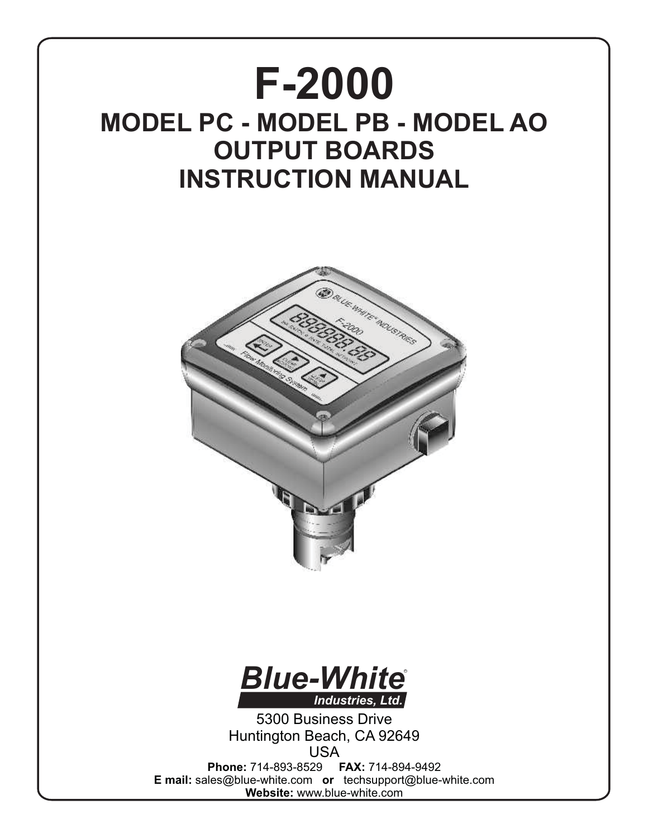# **F-2000 MODEL PC - MODEL PB - MODEL AO OUTPUT BOARDS INSTRUCTION MANUAL**





5300 Business Drive Huntington Beach, CA 92649 USA **Phone:** 714-893-8529 **FAX:** 714-894-9492 **E mail:** sales@blue-white.com **or** techsupport@blue-white.com **Website:** www.blue-white.com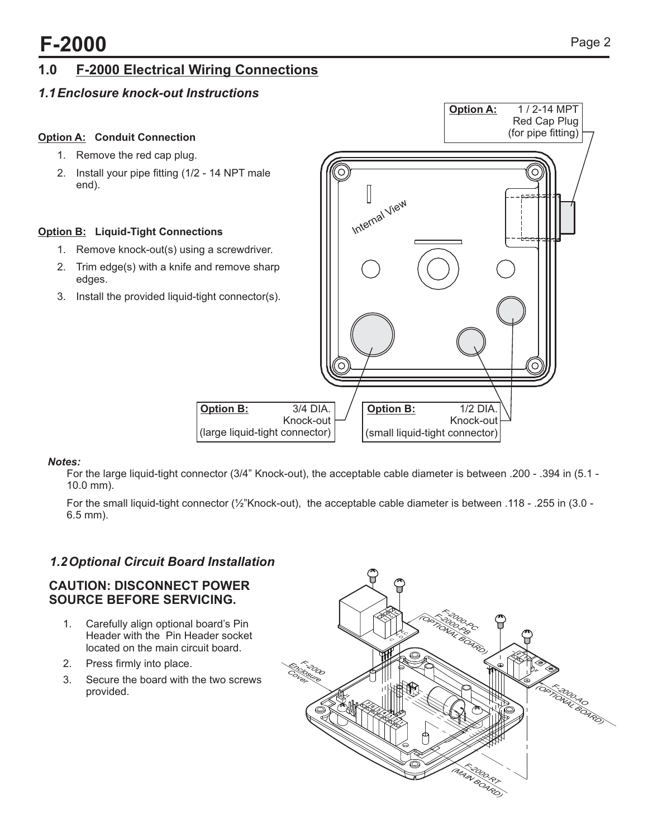### **1.0 F-2000 Electrical Wiring Connections**

### *1.1Enclosure knock-out Instructions*



*Notes:*  For the large liquid-tight connector (3/4" Knock-out), the acceptable cable diameter is between .200 - .394 in (5.1 - 10.0 mm).

For the small liquid-tight connector (½"Knock-out), the acceptable cable diameter is between .118 - .255 in (3.0 - 6.5 mm).

### *1.2Optional Circuit Board Installation*

#### **CAUTION: DISCONNECT POWER SOURCE BEFORE SERVICING.**

- 1. Carefully align optional board's Pin Header with the Pin Header socket located on the main circuit board.
- 2. Press firmly into place.
- 3. Secure the board with the two screws provided.

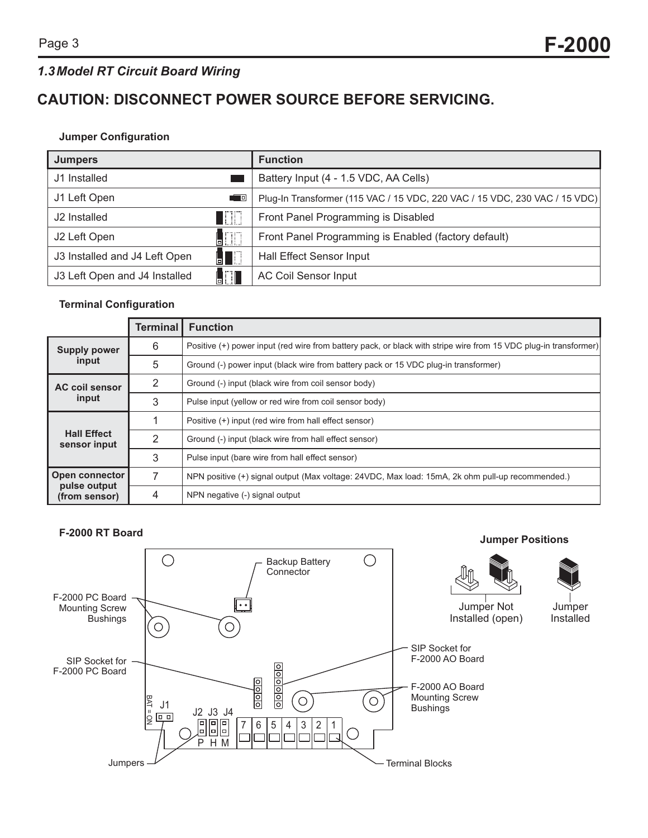### *1.3Model RT Circuit Board Wiring*

### **CAUTION: DISCONNECT POWER SOURCE BEFORE SERVICING.**

#### **Jumper Configuration**

| <b>Jumpers</b>                       | <b>Function</b>                                                            |
|--------------------------------------|----------------------------------------------------------------------------|
| J1 Installed                         | Battery Input (4 - 1.5 VDC, AA Cells)                                      |
| J1 Left Open<br>40                   | Plug-In Transformer (115 VAC / 15 VDC, 220 VAC / 15 VDC, 230 VAC / 15 VDC) |
| TITT I<br>J2 Installed               | Front Panel Programming is Disabled                                        |
| ITITI.<br>J2 Left Open               | Front Panel Programming is Enabled (factory default)                       |
| J3 Installed and J4 Left Open        | <b>Hall Effect Sensor Input</b>                                            |
| A T<br>J3 Left Open and J4 Installed | <b>AC Coil Sensor Input</b>                                                |

#### **Terminal Configuration**

|                                    | Terminal l    | <b>Function</b>                                                                                                  |
|------------------------------------|---------------|------------------------------------------------------------------------------------------------------------------|
| <b>Supply power</b>                | 6             | Positive (+) power input (red wire from battery pack, or black with stripe wire from 15 VDC plug-in transformer) |
| input                              | 5             | Ground (-) power input (black wire from battery pack or 15 VDC plug-in transformer)                              |
| <b>AC coil sensor</b>              | 2             | Ground (-) input (black wire from coil sensor body)                                                              |
| input                              | 3             | Pulse input (yellow or red wire from coil sensor body)                                                           |
|                                    |               | Positive (+) input (red wire from hall effect sensor)                                                            |
| <b>Hall Effect</b><br>sensor input | $\mathcal{P}$ | Ground (-) input (black wire from hall effect sensor)                                                            |
|                                    | 3             | Pulse input (bare wire from hall effect sensor)                                                                  |
| <b>Open connector</b>              | 7             | NPN positive (+) signal output (Max voltage: 24VDC, Max load: 15mA, 2k ohm pull-up recommended.)                 |
| pulse output<br>(from sensor)      | 4             | NPN negative (-) signal output                                                                                   |

#### **F-2000 RT Board**

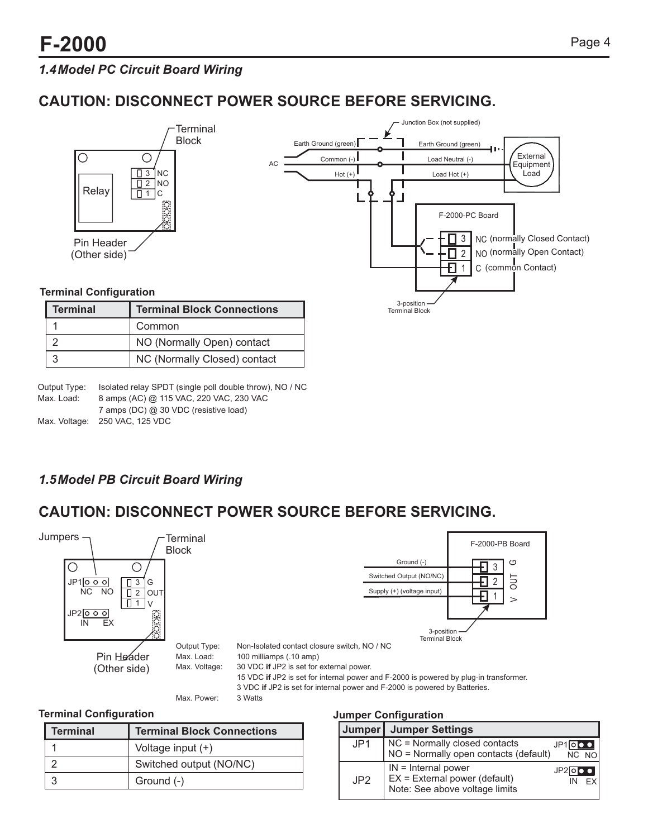1 2 3

### *1.4Model PC Circuit Board Wiring*

### **CAUTION: DISCONNECT POWER SOURCE BEFORE SERVICING.**



| Output Type: | Isolated relay SPDT (single poll double throw), NO / NC |
|--------------|---------------------------------------------------------|
| Max. Load:   | 8 amps (AC) @ 115 VAC, 220 VAC, 230 VAC                 |
|              | 7 amps (DC) @ 30 VDC (resistive load)                   |
|              | Max. Voltage: 250 VAC, 125 VDC                          |

### *1.5Model PB Circuit Board Wiring*

### **CAUTION: DISCONNECT POWER SOURCE BEFORE SERVICING.**



#### **Terminal Configuration**

| <b>Terminal</b> | <b>Terminal Block Connections</b> |
|-----------------|-----------------------------------|
|                 | Voltage input (+)                 |
|                 | Switched output (NO/NC)           |
|                 | Ground (-)                        |

#### **Jumper Configuration**

|     | Jumper   Jumper Settings                                                                   |       |           |       |
|-----|--------------------------------------------------------------------------------------------|-------|-----------|-------|
| JPI | NC = Normally closed contacts<br>NO = Normally open contacts (default)                     |       | $JPIIO$ o | NC NO |
| JP2 | $IN = Internal power$<br>$EX = External power (default)$<br>Note: See above voltage limits | JP2IO |           |       |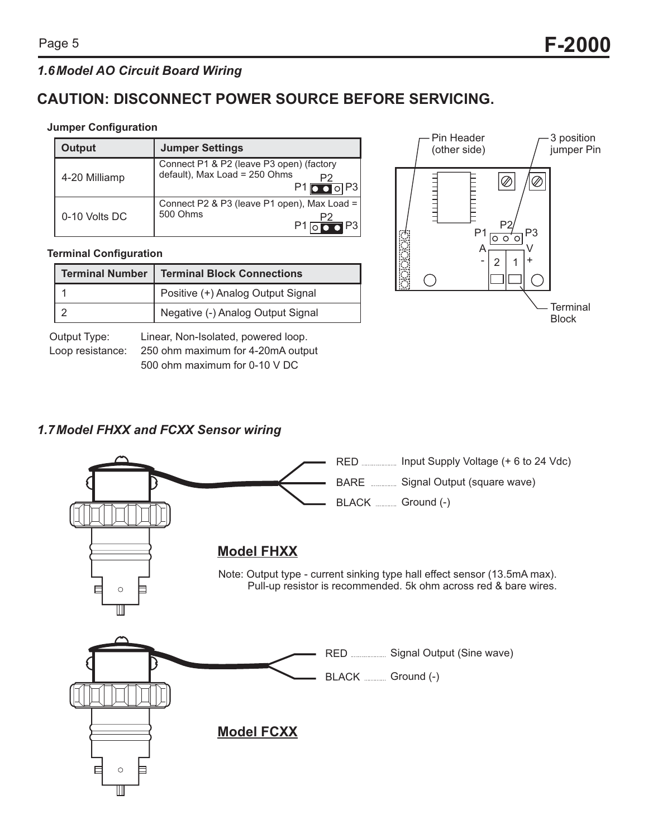### *1.6Model AO Circuit Board Wiring*

### **CAUTION: DISCONNECT POWER SOURCE BEFORE SERVICING.**

#### **Jumper Configuration**

| Output        | <b>Jumper Settings</b>                                                                                                                  |  |  |
|---------------|-----------------------------------------------------------------------------------------------------------------------------------------|--|--|
| 4-20 Milliamp | Connect P1 & P2 (leave P3 open) (factory<br>default), Max Load = 250 Ohms<br>P <sub>2</sub><br>$\blacksquare$ ol P3<br>$P1\blacksquare$ |  |  |
| 0-10 Volts DC | Connect P2 & P3 (leave P1 open), Max Load =<br>500 Ohms<br>P2<br>$\blacksquare$ P3                                                      |  |  |

#### **Terminal Configuration**

| <b>Terminal Number   Terminal Block Connections</b> |
|-----------------------------------------------------|
| Positive (+) Analog Output Signal                   |
| Negative (-) Analog Output Signal                   |

Output Type: Linear, Non-Isolated, powered loop. Loop resistance: 250 ohm maximum for 4-20mA output 500 ohm maximum for 0-10 V DC



### *1.7Model FHXX and FCXX Sensor wiring*

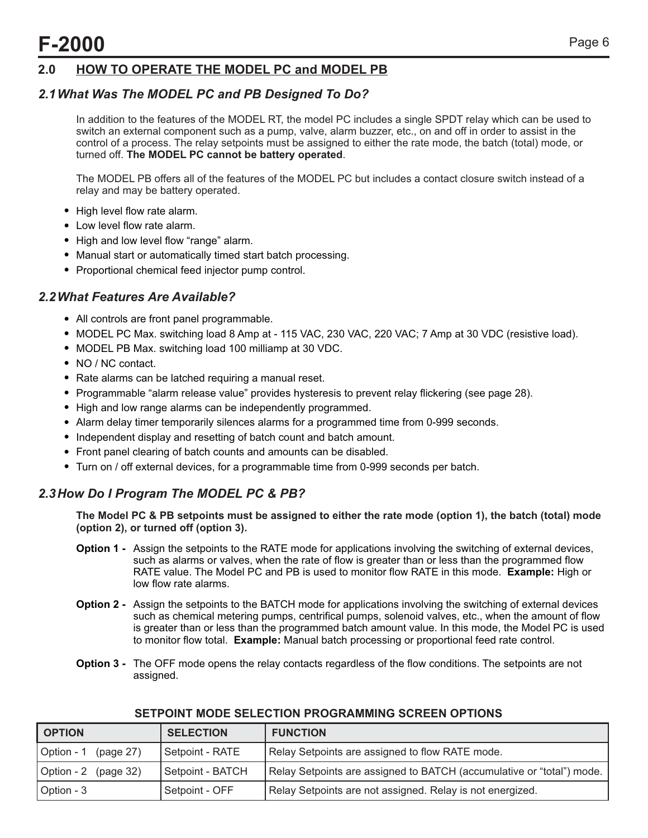### **2.0 HOW TO OPERATE THE MODEL PC and MODEL PB**

### *2.1What Was The MODEL PC and PB Designed To Do?*

In addition to the features of the MODEL RT, the model PC includes a single SPDT relay which can be used to switch an external component such as a pump, valve, alarm buzzer, etc., on and off in order to assist in the control of a process. The relay setpoints must be assigned to either the rate mode, the batch (total) mode, or turned off. **The MODEL PC cannot be battery operated**.

The MODEL PB offers all of the features of the MODEL PC but includes a contact closure switch instead of a relay and may be battery operated.

- High level flow rate alarm.
- Low level flow rate alarm.
- High and low level flow "range" alarm.
- ! Manual start or automatically timed start batch processing.
- Proportional chemical feed injector pump control.

### *2.2What Features Are Available?*

- ! All controls are front panel programmable.
- ! MODEL PC Max. switching load 8 Amp at 115 VAC, 230 VAC, 220 VAC; 7 Amp at 30 VDC (resistive load).
- MODEL PB Max. switching load 100 milliamp at 30 VDC.
- NO / NC contact.
- ! Rate alarms can be latched requiring a manual reset.
- ! Programmable "alarm release value" provides hysteresis to prevent relay flickering (see page 28).
- ! High and low range alarms can be independently programmed.
- ! Alarm delay timer temporarily silences alarms for a programmed time from 0-999 seconds.
- Independent display and resetting of batch count and batch amount.
- ! Front panel clearing of batch counts and amounts can be disabled.
- ! Turn on / off external devices, for a programmable time from 0-999 seconds per batch.

### *2.3How Do I Program The MODEL PC & PB?*

**The Model PC & PB setpoints must be assigned to either the rate mode (option 1), the batch (total) mode (option 2), or turned off (option 3).**

- **Option 1 -** Assign the setpoints to the RATE mode for applications involving the switching of external devices, such as alarms or valves, when the rate of flow is greater than or less than the programmed flow RATE value. The Model PC and PB is used to monitor flow RATE in this mode. **Example:** High or low flow rate alarms.
- **Option 2 -** Assign the setpoints to the BATCH mode for applications involving the switching of external devices such as chemical metering pumps, centrifical pumps, solenoid valves, etc., when the amount of flow is greater than or less than the programmed batch amount value. In this mode, the Model PC is used to monitor flow total. **Example:** Manual batch processing or proportional feed rate control.
- **Option 3 -** The OFF mode opens the relay contacts regardless of the flow conditions. The setpoints are not assigned.

| OPTION                  | <b>SELECTION</b> | <b>FUNCTION</b>                                                       |
|-------------------------|------------------|-----------------------------------------------------------------------|
| Option - 1<br>(page 27) | Setpoint - RATE  | Relay Setpoints are assigned to flow RATE mode.                       |
| Option - 2 (page 32)    | Setpoint - BATCH | Relay Setpoints are assigned to BATCH (accumulative or "total") mode. |
| Option - 3              | Setpoint - OFF   | Relay Setpoints are not assigned. Relay is not energized.             |

#### **SETPOINT MODE SELECTION PROGRAMMING SCREEN OPTIONS**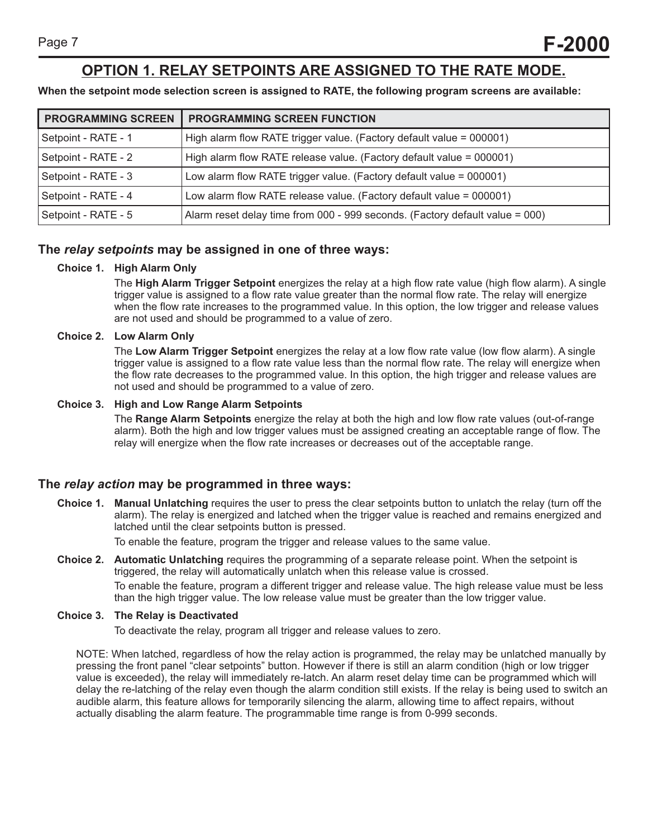### **OPTION 1. RELAY SETPOINTS ARE ASSIGNED TO THE RATE MODE.**

**When the setpoint mode selection screen is assigned to RATE, the following program screens are available:**

| <b>PROGRAMMING SCREEN</b> | PROGRAMMING SCREEN FUNCTION                                                    |
|---------------------------|--------------------------------------------------------------------------------|
| Setpoint - RATE - 1       | High alarm flow RATE trigger value. (Factory default value = 000001)           |
| Setpoint - RATE - 2       | High alarm flow RATE release value. (Factory default value = 000001)           |
| Setpoint - RATE - 3       | Low alarm flow RATE trigger value. (Factory default value = 000001)            |
| Setpoint - RATE - 4       | Low alarm flow RATE release value. (Factory default value = 000001)            |
| Setpoint - RATE - 5       | Alarm reset delay time from $000 - 999$ seconds. (Factory default value = 000) |

#### **The** *relay setpoints* **may be assigned in one of three ways:**

#### **Choice 1. High Alarm Only**

The **High Alarm Trigger Setpoint** energizes the relay at a high flow rate value (high flow alarm). A single trigger value is assigned to a flow rate value greater than the normal flow rate. The relay will energize when the flow rate increases to the programmed value. In this option, the low trigger and release values are not used and should be programmed to a value of zero.

#### **Choice 2. Low Alarm Only**

The **Low Alarm Trigger Setpoint** energizes the relay at a low flow rate value (low flow alarm). A single trigger value is assigned to a flow rate value less than the normal flow rate. The relay will energize when the flow rate decreases to the programmed value. In this option, the high trigger and release values are not used and should be programmed to a value of zero.

#### **Choice 3. High and Low Range Alarm Setpoints**

The **Range Alarm Setpoints** energize the relay at both the high and low flow rate values (out-of-range alarm). Both the high and low trigger values must be assigned creating an acceptable range of flow. The relay will energize when the flow rate increases or decreases out of the acceptable range.

#### **The** *relay action* **may be programmed in three ways:**

**Choice 1. Manual Unlatching** requires the user to press the clear setpoints button to unlatch the relay (turn off the alarm). The relay is energized and latched when the trigger value is reached and remains energized and latched until the clear setpoints button is pressed.

To enable the feature, program the trigger and release values to the same value.

**Choice 2. Automatic Unlatching** requires the programming of a separate release point. When the setpoint is triggered, the relay will automatically unlatch when this release value is crossed. To enable the feature, program a different trigger and release value. The high release value must be less than the high trigger value. The low release value must be greater than the low trigger value.

#### **Choice 3. The Relay is Deactivated**

To deactivate the relay, program all trigger and release values to zero.

NOTE: When latched, regardless of how the relay action is programmed, the relay may be unlatched manually by pressing the front panel "clear setpoints" button. However if there is still an alarm condition (high or low trigger value is exceeded), the relay will immediately re-latch. An alarm reset delay time can be programmed which will delay the re-latching of the relay even though the alarm condition still exists. If the relay is being used to switch an audible alarm, this feature allows for temporarily silencing the alarm, allowing time to affect repairs, without actually disabling the alarm feature. The programmable time range is from 0-999 seconds.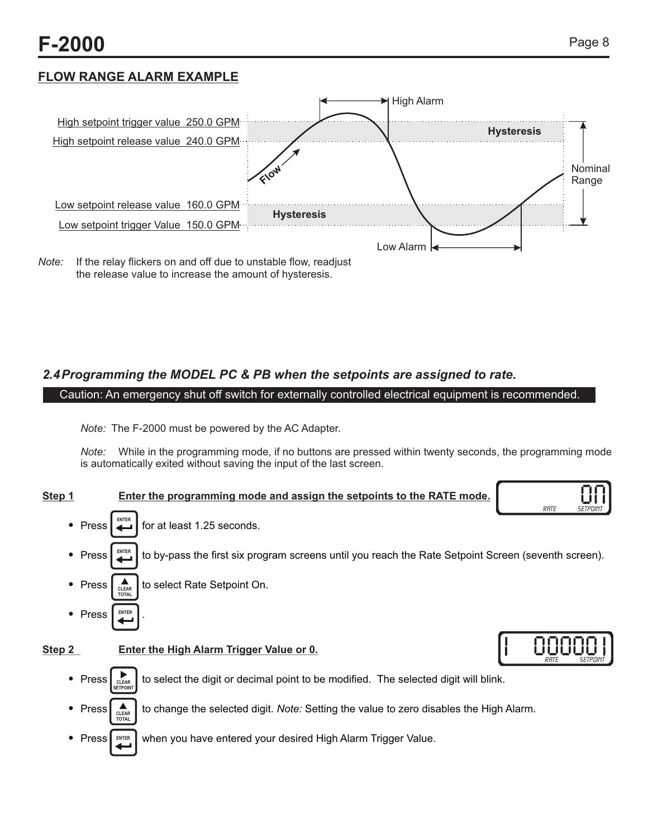### **FLOW RANGE ALARM EXAMPLE**



the release value to increase the amount of hysteresis.

### *2.4Programming the MODEL PC & PB when the setpoints are assigned to rate.*

Caution: An emergency shut off switch for externally controlled electrical equipment is recommended.

*Note:* The F-2000 must be powered by the AC Adapter.

*Note:* While in the programming mode, if no buttons are pressed within twenty seconds, the programming mode is automatically exited without saving the input of the last screen.

#### **Step 1 Enter the programming mode and assign the setpoints to the RATE mode.**

- Press  $\Box$  for at least 1.25 seconds. **ENTER**
- $\bullet$  Press  $\left[\begin{array}{c} \text{NTE} \\ \text{MTE} \end{array}\right]$  to by-pass the first six program screens until you reach the Rate Setpoint Screen (seventh screen). **ENTER**
- Press  $\int_{\text{CLEAR}}$  to select Rate Setpoint On. **TOTAL CLEAR**
- Press **ENTER**

**TOTAL**

#### **Step 2** Enter the High Alarm Trigger Value or 0.

- Press  $\sum_{\text{clear}}$  to select the digit or decimal point to be modified. The selected digit will blink. **CLEAR SETPOINT**
- Press  $\left| \right\rangle_{\text{max}}$  to change the selected digit. *Note:* Setting the value to zero disables the High Alarm. **CLEAR**
- Press | ENTER | when you have entered your desired High Alarm Trigger Value. **ENTER**



 $\bf \Omega$ 

<u>RATE SETPOINT</u>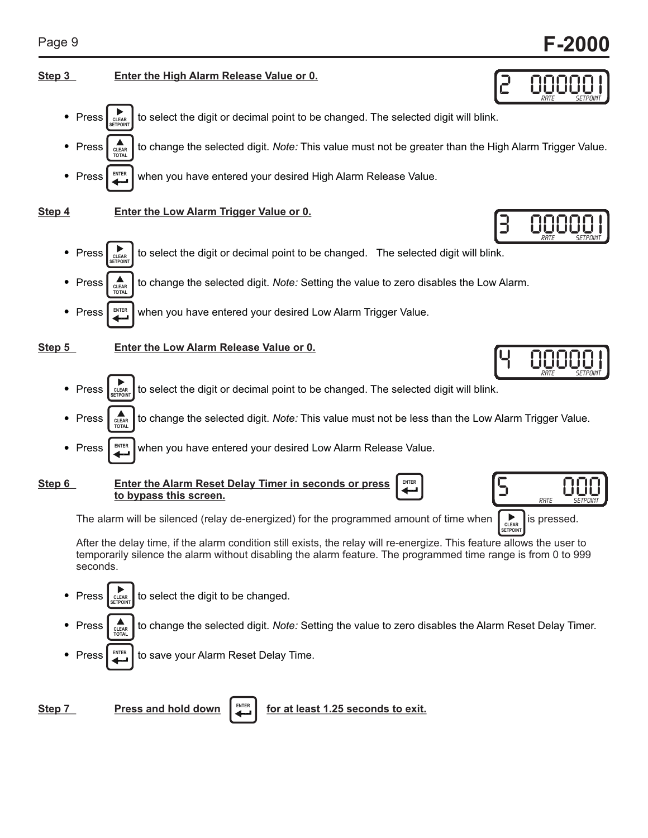00000

00000

2

3

4

**SETPOINT**

#### **Step 3 Enter the High Alarm Release Value or 0.**



**Step 4 Enter the Low Alarm Trigger Value or 0.**

 $\bullet$  Press  $\left| \right|$  consect the digit or decimal point to be changed. The selected digit will blink. Press  $\int_{\text{at-AR}}$  to change the selected digit. *Note:* Setting the value to zero disables the Low Alarm. • Press  $\mathbb{P}^{\text{refl}}$  when you have entered your desired Low Alarm Trigger Value. **ENTER CLEAR SETPOINT TOTAL CLEAR RATE SETPOINT** 

**Step 5 Enter the Low Alarm Release Value or 0.**

- Press  $\left[\lim_{n \to \infty} \right]$  to select the digit or decimal point to be changed. The selected digit will blink. **CLEAR SETPOINT**
- Press  $\int_{\alpha \in \mathbb{R}^n}$  to change the selected digit. *Note:* This value must not be less than the Low Alarm Trigger Value. **TOTAL CLEAR**
- Press  $\lceil \frac{\text{ENTER}}{2} \rceil$  when you have entered your desired Low Alarm Release Value. **ENTER**

**Step 6 Enter the Alarm Reset Delay Timer in seconds or press to bypass this screen. ENTER**





**RATE SETPOINT** 00000

The alarm will be silenced (relay de-energized) for the programmed amount of time when  $\Box$  is pressed.

After the delay time, if the alarm condition still exists, the relay will re-energize. This feature allows the user to temporarily silence the alarm without disabling the alarm feature. The programmed time range is from 0 to 999 seconds.

- Press  $\left| \right|_{\text{clear}}$  to select the digit to be changed. **CLEAR SETPOINT**
- Press  $\int_{\text{max}}$  to change the selected digit. *Note:* Setting the value to zero disables the Alarm Reset Delay Timer. **TOTAL CLEAR**
- Press  $\left| \right|$  to save your Alarm Reset Delay Time. **ENTER**

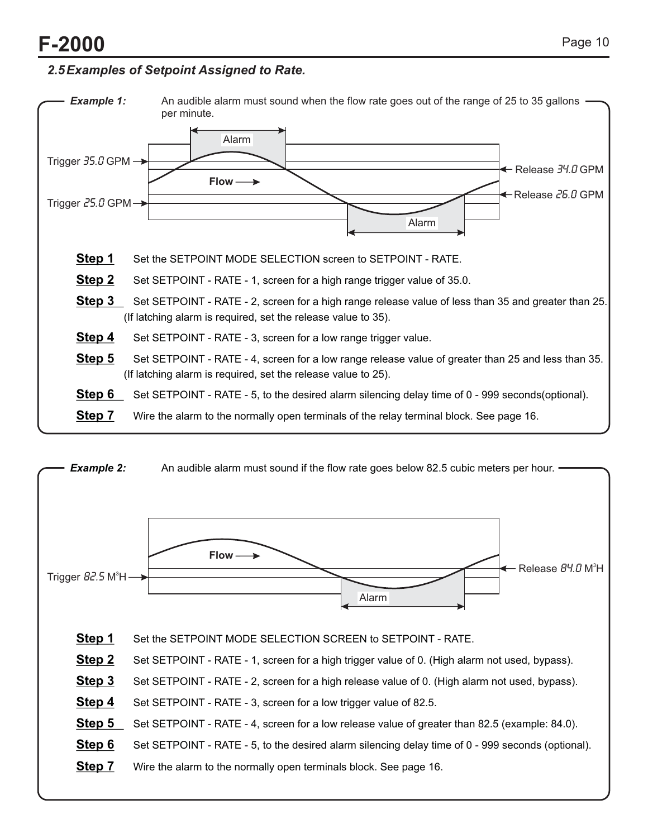### *2.5Examples of Setpoint Assigned to Rate.*



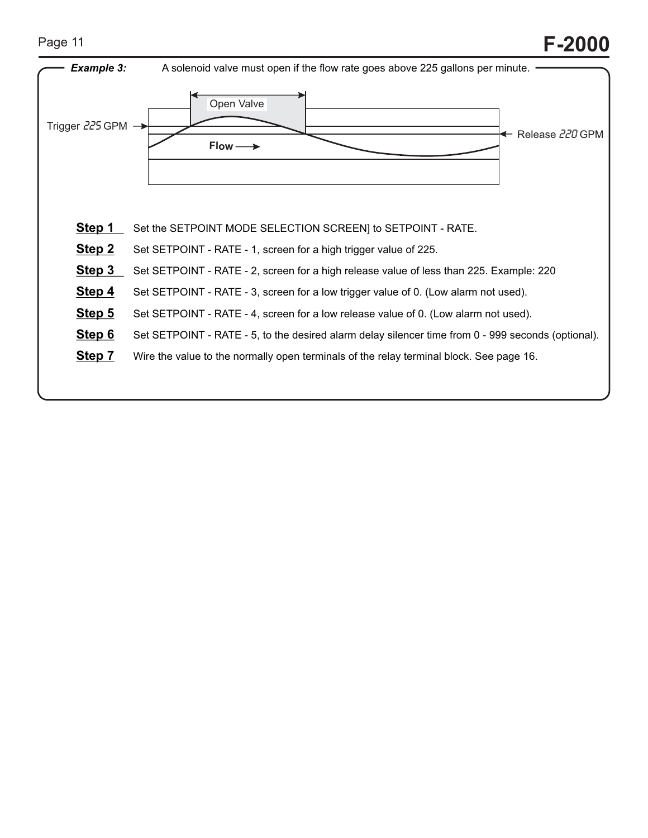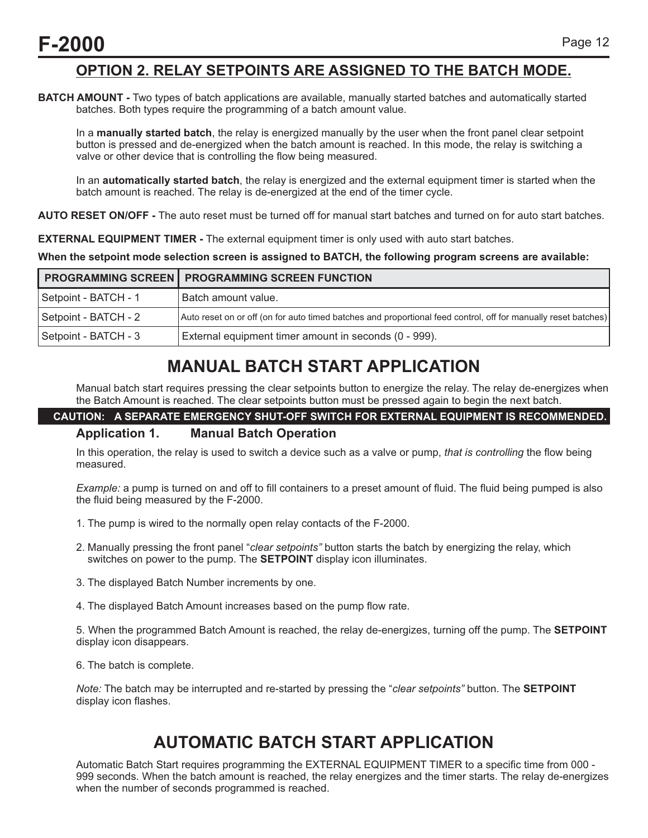### **OPTION 2. RELAY SETPOINTS ARE ASSIGNED TO THE BATCH MODE.**

**BATCH AMOUNT -** Two types of batch applications are available, manually started batches and automatically started batches. Both types require the programming of a batch amount value.

In a **manually started batch**, the relay is energized manually by the user when the front panel clear setpoint button is pressed and de-energized when the batch amount is reached. In this mode, the relay is switching a valve or other device that is controlling the flow being measured.

In an **automatically started batch**, the relay is energized and the external equipment timer is started when the batch amount is reached. The relay is de-energized at the end of the timer cycle.

**AUTO RESET ON/OFF -** The auto reset must be turned off for manual start batches and turned on for auto start batches.

**EXTERNAL EQUIPMENT TIMER -** The external equipment timer is only used with auto start batches.

**When the setpoint mode selection screen is assigned to BATCH, the following program screens are available:**

|                      | <b>PROGRAMMING SCREEN   PROGRAMMING SCREEN FUNCTION</b>                                                        |
|----------------------|----------------------------------------------------------------------------------------------------------------|
| Setpoint - BATCH - 1 | l Batch amount value.                                                                                          |
| Setpoint - BATCH - 2 | Auto reset on or off (on for auto timed batches and proportional feed control, off for manually reset batches) |
| Setpoint - BATCH - 3 | External equipment timer amount in seconds (0 - 999).                                                          |

## **MANUAL BATCH START APPLICATION**

Manual batch start requires pressing the clear setpoints button to energize the relay. The relay de-energizes when the Batch Amount is reached. The clear setpoints button must be pressed again to begin the next batch.

## **CAUTION: A SEPARATE EMERGENCY SHUT-OFF SWITCH FOR EXTERNAL EQUIPMENT IS RECOMMENDED.**

#### **Application 1. Manual Batch Operation**

In this operation, the relay is used to switch a device such as a valve or pump, *that is controlling* the flow being measured.

*Example:* a pump is turned on and off to fill containers to a preset amount of fluid. The fluid being pumped is also the fluid being measured by the F-2000.

- 1. The pump is wired to the normally open relay contacts of the F-2000.
- 2. Manually pressing the front panel "*clear setpoints"* button starts the batch by energizing the relay, which switches on power to the pump. The **SETPOINT** display icon illuminates.
- 3. The displayed Batch Number increments by one.
- 4. The displayed Batch Amount increases based on the pump flow rate.

5. When the programmed Batch Amount is reached, the relay de-energizes, turning off the pump. The **SETPOINT** display icon disappears.

6. The batch is complete.

*Note:* The batch may be interrupted and re-started by pressing the "*clear setpoints"* button. The **SETPOINT** display icon flashes.

### **AUTOMATIC BATCH START APPLICATION**

Automatic Batch Start requires programming the EXTERNAL EQUIPMENT TIMER to a specific time from 000 - 999 seconds. When the batch amount is reached, the relay energizes and the timer starts. The relay de-energizes when the number of seconds programmed is reached.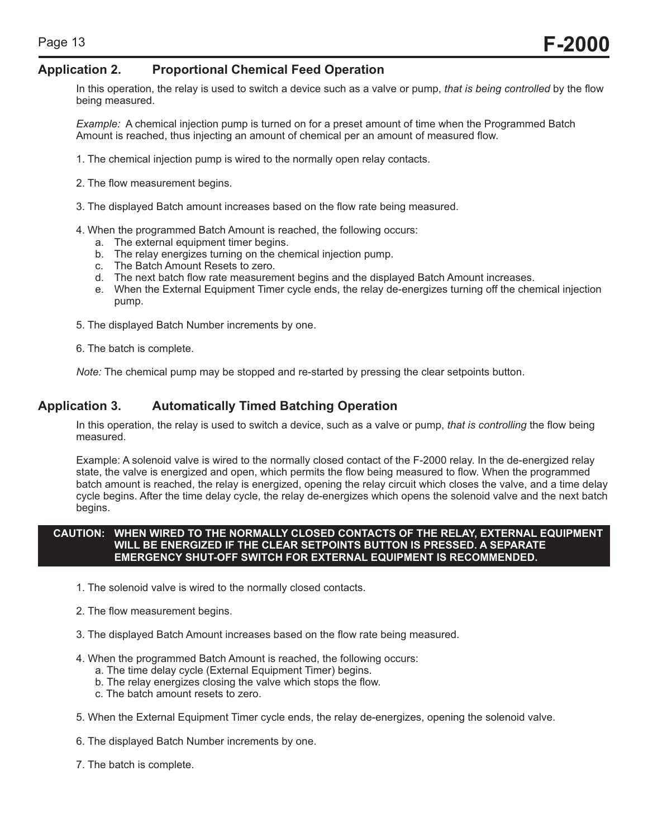#### **Application 2. Proportional Chemical Feed Operation**

In this operation, the relay is used to switch a device such as a valve or pump, *that is being controlled* by the flow being measured.

*Example:* A chemical injection pump is turned on for a preset amount of time when the Programmed Batch Amount is reached, thus injecting an amount of chemical per an amount of measured flow.

- 1. The chemical injection pump is wired to the normally open relay contacts.
- 2. The flow measurement begins.
- 3. The displayed Batch amount increases based on the flow rate being measured.
- 4. When the programmed Batch Amount is reached, the following occurs:
	- a. The external equipment timer begins.
	- b. The relay energizes turning on the chemical injection pump.
	- c. The Batch Amount Resets to zero.
	- d. The next batch flow rate measurement begins and the displayed Batch Amount increases.
	- e. When the External Equipment Timer cycle ends, the relay de-energizes turning off the chemical injection pump.
- 5. The displayed Batch Number increments by one.
- 6. The batch is complete.

*Note:* The chemical pump may be stopped and re-started by pressing the clear setpoints button.

#### **Application 3. Automatically Timed Batching Operation**

In this operation, the relay is used to switch a device, such as a valve or pump, *that is controlling* the flow being measured.

Example: A solenoid valve is wired to the normally closed contact of the F-2000 relay. In the de-energized relay state, the valve is energized and open, which permits the flow being measured to flow. When the programmed batch amount is reached, the relay is energized, opening the relay circuit which closes the valve, and a time delay cycle begins. After the time delay cycle, the relay de-energizes which opens the solenoid valve and the next batch begins.

#### **CAUTION: WHEN WIRED TO THE NORMALLY CLOSED CONTACTS OF THE RELAY, EXTERNAL EQUIPMENT WILL BE ENERGIZED IF THE CLEAR SETPOINTS BUTTON IS PRESSED. A SEPARATE EMERGENCY SHUT-OFF SWITCH FOR EXTERNAL EQUIPMENT IS RECOMMENDED.**

- 1. The solenoid valve is wired to the normally closed contacts.
- 2. The flow measurement begins.
- 3. The displayed Batch Amount increases based on the flow rate being measured.
- 4. When the programmed Batch Amount is reached, the following occurs:
	- a. The time delay cycle (External Equipment Timer) begins.
	- b. The relay energizes closing the valve which stops the flow.
	- c. The batch amount resets to zero.
- 5. When the External Equipment Timer cycle ends, the relay de-energizes, opening the solenoid valve.
- 6. The displayed Batch Number increments by one.
- 7. The batch is complete.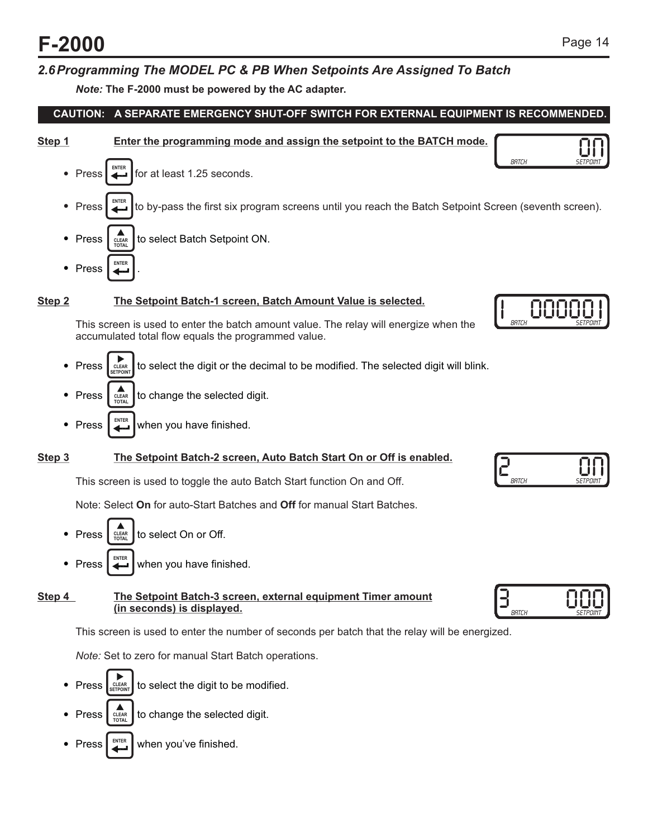### *2.6Programming The MODEL PC & PB When Setpoints Are Assigned To Batch*

*Note:* **The F-2000 must be powered by the AC adapter.**

**CAUTION: A SEPARATE EMERGENCY SHUT-OFF SWITCH FOR EXTERNAL EQUIPMENT IS RECOMMENDED.**

- 
- **Step 1 Enter the programming mode and assign the setpoint to the BATCH mode.**



#### **Step 2 The Setpoint Batch-1 screen, Batch Amount Value is selected.**

This screen is used to enter the batch amount value. The relay will energize when the accumulated total flow equals the programmed value.

- Press  $\left| \sum_{n=1}^{\infty} \right|$  to select the digit or the decimal to be modified. The selected digit will blink. **CLEAR SETPOINT**
- Press  $\int_{0}^{\frac{\pi}{2}} \csc^2 1$  to change the selected digit. **TOTAL CLEAR**
- Press  $\Box$  when you have finished. **ENTER**

#### **Step 3 The Setpoint Batch-2 screen, Auto Batch Start On or Off is enabled.**

This screen is used to toggle the auto Batch Start function On and Off.

Note: Select **On** for auto-Start Batches and **Off** for manual Start Batches.

Press  $\int_{\frac{CERR}{TOTA}}$  to select On or Off. Press  $\Box$  when you have finished. **TOTAL CLEAR ENTER**

#### **Step 4** The Setpoint Batch-3 screen, external equipment Timer amount **(in seconds) is displayed.**

This screen is used to enter the number of seconds per batch that the relay will be energized.

*Note:* Set to zero for manual Start Batch operations.

- Press  $\left| \xi_{\text{SFDONT}} \right|$  to select the digit to be modified. Press  $\int_{\frac{CFLAR}{LQTAI}}$  to change the selected digit. **CLEAR SETPOINT TOTAL CLEAR**
- Press  $\left| \right|$  when you've finished. **ENTER**





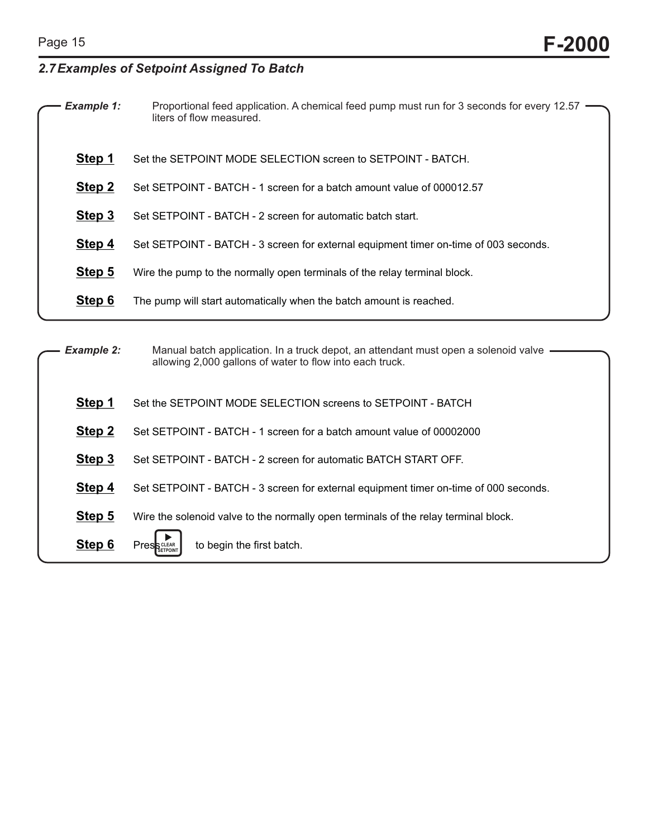### *2.7Examples of Setpoint Assigned To Batch*

| <b>Example 1:</b> | Proportional feed application. A chemical feed pump must run for 3 seconds for every 12.57<br>liters of flow measured. |
|-------------------|------------------------------------------------------------------------------------------------------------------------|
| Step 1            | Set the SETPOINT MODE SELECTION screen to SETPOINT - BATCH.                                                            |
| Step 2            | Set SETPOINT - BATCH - 1 screen for a batch amount value of 000012.57                                                  |
| Step 3            | Set SETPOINT - BATCH - 2 screen for automatic batch start.                                                             |
| Step 4            | Set SETPOINT - BATCH - 3 screen for external equipment timer on-time of 003 seconds.                                   |
| Step 5            | Wire the pump to the normally open terminals of the relay terminal block.                                              |
| Step 6            | The pump will start automatically when the batch amount is reached.                                                    |
|                   |                                                                                                                        |

| <b>Example 2:</b> | Manual batch application. In a truck depot, an attendant must open a solenoid valve —<br>allowing 2,000 gallons of water to flow into each truck. |  |
|-------------------|---------------------------------------------------------------------------------------------------------------------------------------------------|--|
| Step 1            | Set the SETPOINT MODE SELECTION screens to SETPOINT - BATCH                                                                                       |  |
| Step 2            | Set SETPOINT - BATCH - 1 screen for a batch amount value of 00002000                                                                              |  |
| Step 3            | Set SETPOINT - BATCH - 2 screen for automatic BATCH START OFF.                                                                                    |  |
| Step 4            | Set SETPOINT - BATCH - 3 screen for external equipment timer on-time of 000 seconds.                                                              |  |
| Step 5            | Wire the solenoid valve to the normally open terminals of the relay terminal block.                                                               |  |
| Step 6            | to begin the first batch.<br><b>Press</b>                                                                                                         |  |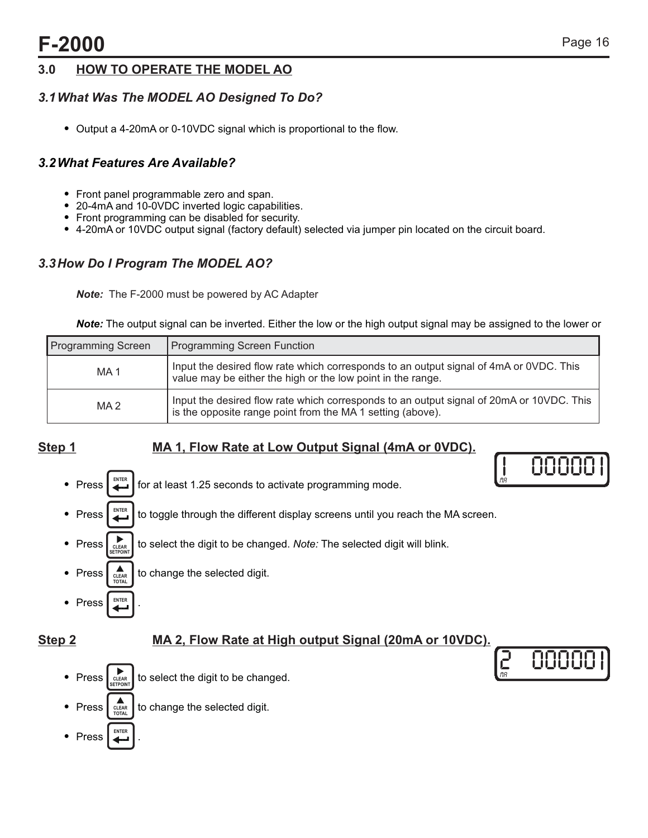00000

0000

<u>MR</u> 2

### **3.0 HOW TO OPERATE THE MODEL AO**

### *3.1What Was The MODEL AO Designed To Do?*

• Output a 4-20mA or 0-10VDC signal which is proportional to the flow.

### *3.2What Features Are Available?*

- 
- 
- 
- Front panel programmable zero and span.<br>• 20-4mA and 10-0VDC inverted logic capabilities.<br>• Front programming can be disabled for security.<br>• 4-20mA or 10VDC output signal (factory default) selected via jumper pin locate

### *3.3How Do I Program The MODEL AO?*

*Note:* The F-2000 must be powered by AC Adapter

*Note:* The output signal can be inverted. Either the low or the high output signal may be assigned to the lower or

| <b>Programming Screen</b> | <b>Programming Screen Function</b>                                                                                                                     |
|---------------------------|--------------------------------------------------------------------------------------------------------------------------------------------------------|
| MA <sub>1</sub>           | Input the desired flow rate which corresponds to an output signal of 4mA or 0VDC. This<br>value may be either the high or the low point in the range.  |
| MA <sub>2</sub>           | Input the desired flow rate which corresponds to an output signal of 20mA or 10VDC. This<br>is the opposite range point from the MA 1 setting (above). |

### **Step 1** MA 1, Flow Rate at Low Output Signal (4mA or 0VDC).

• Press  $\Box$  for at least 1.25 seconds to activate programming mode. • Press  $\left| \right|$  to toggle through the different display screens until you reach the MA screen. • Press  $\int_{\text{CIER}}$  to select the digit to be changed. *Note:* The selected digit will blink. • Press  $\int_{\text{cLEAR}}$  to change the selected digit. • Press MA **CLEAR SETPOINT ENTER TOTAL CLEAR ENTER ENTER**

### **Step 2 MA 2, Flow Rate at High output Signal (20mA or 10VDC).**

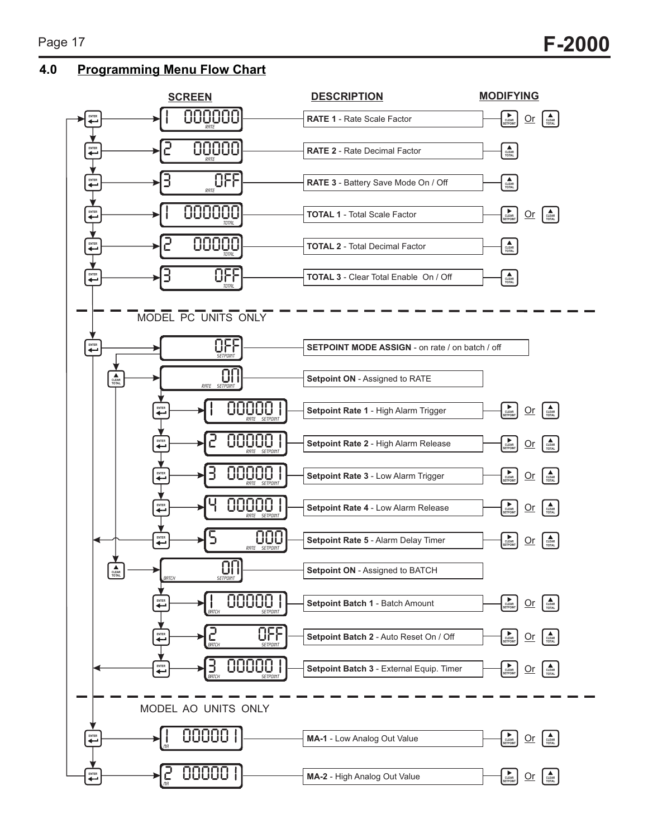**4.0 Programming Menu Flow Chart**